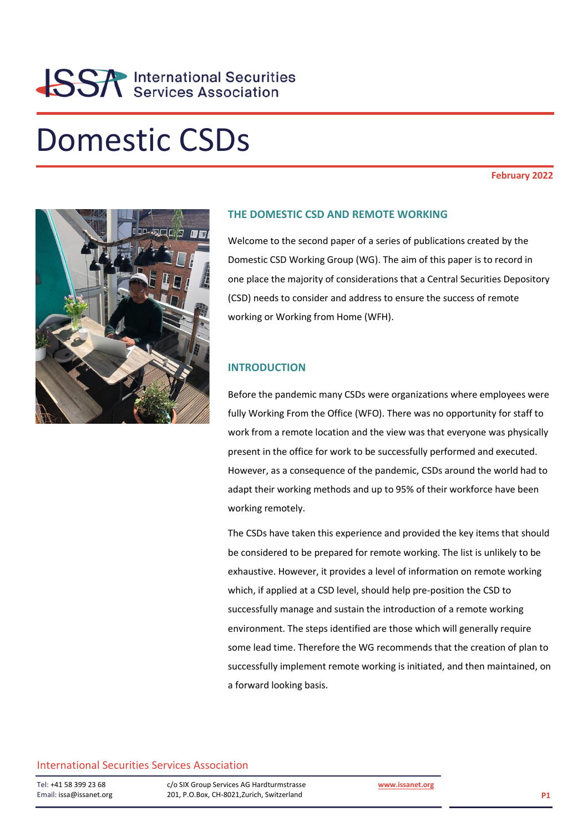## Domestic CSDs

#### **February 2022**



#### **THE DOMESTIC CSD AND REMOTE WORKING**

Welcome to the second paper of a series of publications created by the Domestic CSD Working Group (WG). The aim of this paper is to record in one place the majority of considerations that a Central Securities Depository (CSD) needs to consider and address to ensure the success of remote working or Working from Home (WFH).

#### **INTRODUCTION**

Before the pandemic many CSDs were organizations where employees were fully Working From the Office (WFO). There was no opportunity for staff to work from a remote location and the view was that everyone was physically present in the office for work to be successfully performed and executed. However, as a consequence of the pandemic, CSDs around the world had to adapt their working methods and up to 95% of their workforce have been working remotely.

The CSDs have taken this experience and provided the key items that should be considered to be prepared for remote working. The list is unlikely to be exhaustive. However, it provides a level of information on remote working which, if applied at a CSD level, should help pre-position the CSD to successfully manage and sustain the introduction of a remote working environment. The steps identified are those which will generally require some lead time. Therefore the WG recommends that the creation of plan to successfully implement remote working is initiated, and then maintained, on a forward looking basis.

#### International Securities Services Association

Tel: +41 58 399 23 68 Email: issa@issanet.org c/o SIX Group Services AG Hardturmstrasse 201, P.O.Box, CH-8021,Zurich, Switzerland

**[www.issanet.org](http://www.issanet.org/)**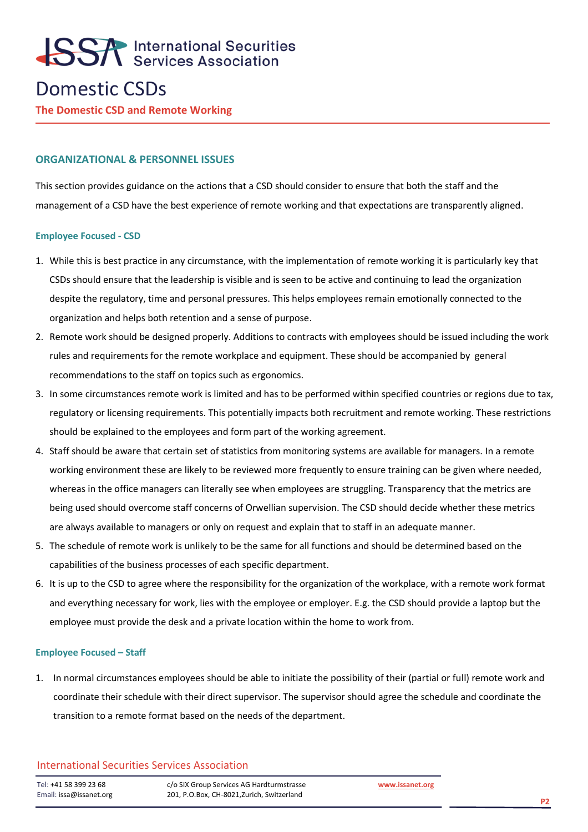### Domestic CSDs

**The Domestic CSD and Remote Working**

#### **ORGANIZATIONAL & PERSONNEL ISSUES**

This section provides guidance on the actions that a CSD should consider to ensure that both the staff and the management of a CSD have the best experience of remote working and that expectations are transparently aligned.

#### **Employee Focused - CSD**

- 1. While this is best practice in any circumstance, with the implementation of remote working it is particularly key that CSDs should ensure that the leadership is visible and is seen to be active and continuing to lead the organization despite the regulatory, time and personal pressures. This helps employees remain emotionally connected to the organization and helps both retention and a sense of purpose.
- 2. Remote work should be designed properly. Additions to contracts with employees should be issued including the work rules and requirements for the remote workplace and equipment. These should be accompanied by general recommendations to the staff on topics such as ergonomics.
- 3. In some circumstances remote work is limited and has to be performed within specified countries or regions due to tax, regulatory or licensing requirements. This potentially impacts both recruitment and remote working. These restrictions should be explained to the employees and form part of the working agreement.
- 4. Staff should be aware that certain set of statistics from monitoring systems are available for managers. In a remote working environment these are likely to be reviewed more frequently to ensure training can be given where needed, whereas in the office managers can literally see when employees are struggling. Transparency that the metrics are being used should overcome staff concerns of Orwellian supervision. The CSD should decide whether these metrics are always available to managers or only on request and explain that to staff in an adequate manner.
- 5. The schedule of remote work is unlikely to be the same for all functions and should be determined based on the capabilities of the business processes of each specific department.
- 6. It is up to the CSD to agree where the responsibility for the organization of the workplace, with a remote work format and everything necessary for work, lies with the employee or employer. E.g. the CSD should provide a laptop but the employee must provide the desk and a private location within the home to work from.

#### **Employee Focused – Staff**

1. In normal circumstances employees should be able to initiate the possibility of their (partial or full) remote work and coordinate their schedule with their direct supervisor. The supervisor should agree the schedule and coordinate the transition to a remote format based on the needs of the department.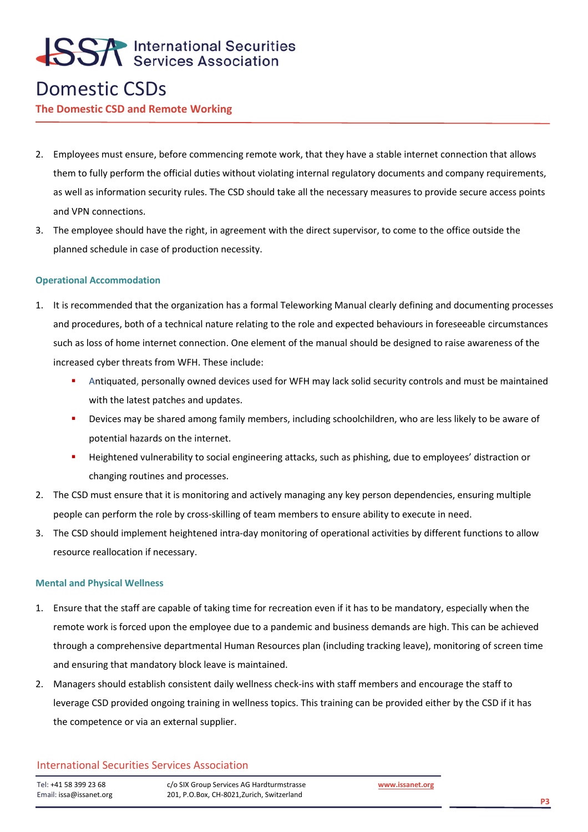### Domestic CSDs

#### **The Domestic CSD and Remote Working**

- 2. Employees must ensure, before commencing remote work, that they have a stable internet connection that allows them to fully perform the official duties without violating internal regulatory documents and company requirements, as well as information security rules. The CSD should take all the necessary measures to provide secure access points and VPN connections.
- 3. The employee should have the right, in agreement with the direct supervisor, to come to the office outside the planned schedule in case of production necessity.

#### **Operational Accommodation**

- 1. It is recommended that the organization has a formal Teleworking Manual clearly defining and documenting processes and procedures, both of a technical nature relating to the role and expected behaviours in foreseeable circumstances such as loss of home internet connection. One element of the manual should be designed to raise awareness of the increased cyber threats from WFH. These include:
	- Antiquated, personally owned devices used for WFH may lack solid security controls and must be maintained with the latest patches and updates.
	- Devices may be shared among family members, including schoolchildren, who are less likely to be aware of potential hazards on the internet.
	- Heightened vulnerability to social engineering attacks, such as phishing, due to employees' distraction or changing routines and processes.
- 2. The CSD must ensure that it is monitoring and actively managing any key person dependencies, ensuring multiple people can perform the role by cross-skilling of team members to ensure ability to execute in need.
- 3. The CSD should implement heightened intra-day monitoring of operational activities by different functions to allow resource reallocation if necessary.

#### **Mental and Physical Wellness**

- 1. Ensure that the staff are capable of taking time for recreation even if it has to be mandatory, especially when the remote work is forced upon the employee due to a pandemic and business demands are high. This can be achieved through a comprehensive departmental Human Resources plan (including tracking leave), monitoring of screen time and ensuring that mandatory block leave is maintained.
- 2. Managers should establish consistent daily wellness check-ins with staff members and encourage the staff to leverage CSD provided ongoing training in wellness topics. This training can be provided either by the CSD if it has the competence or via an external supplier.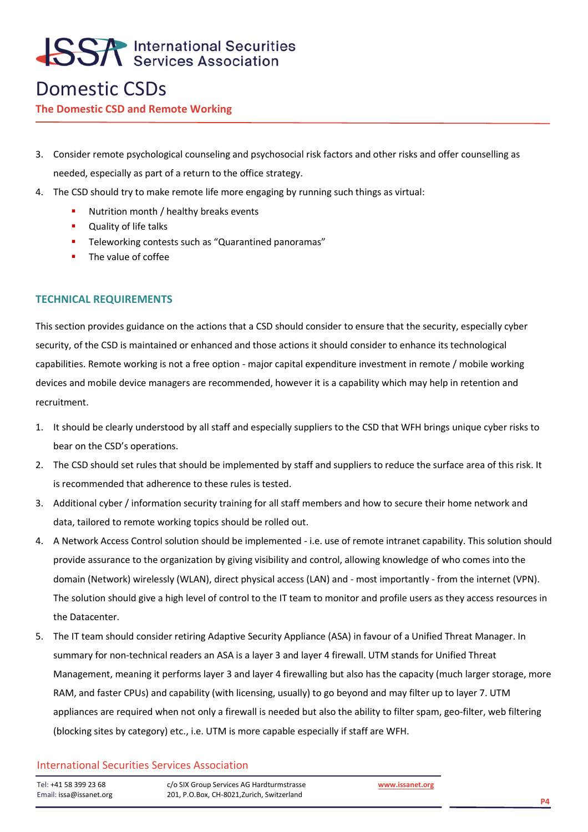### Domestic CSDs

#### **The Domestic CSD and Remote Working**

- 3. Consider remote psychological counseling and psychosocial risk factors and other risks and offer counselling as needed, especially as part of a return to the office strategy.
- 4. The CSD should try to make remote life more engaging by running such things as virtual:
	- Nutrition month / healthy breaks events
	- Quality of life talks
	- **E** Teleworking contests such as "Quarantined panoramas"
	- **■** The value of coffee

#### **TECHNICAL REQUIREMENTS**

This section provides guidance on the actions that a CSD should consider to ensure that the security, especially cyber security, of the CSD is maintained or enhanced and those actions it should consider to enhance its technological capabilities. Remote working is not a free option - major capital expenditure investment in remote / mobile working devices and mobile device managers are recommended, however it is a capability which may help in retention and recruitment.

- 1. It should be clearly understood by all staff and especially suppliers to the CSD that WFH brings unique cyber risks to bear on the CSD's operations.
- 2. The CSD should set rules that should be implemented by staff and suppliers to reduce the surface area of this risk. It is recommended that adherence to these rules is tested.
- 3. Additional cyber / information security training for all staff members and how to secure their home network and data, tailored to remote working topics should be rolled out.
- 4. A Network Access Control solution should be implemented i.e. use of remote intranet capability. This solution should provide assurance to the organization by giving visibility and control, allowing knowledge of who comes into the domain (Network) wirelessly (WLAN), direct physical access (LAN) and - most importantly - from the internet (VPN). The solution should give a high level of control to the IT team to monitor and profile users as they access resources in the Datacenter.
- 5. The IT team should consider retiring Adaptive Security Appliance (ASA) in favour of a Unified Threat Manager. In summary for non-technical readers an ASA is a layer 3 and layer 4 firewall. UTM stands for Unified Threat Management, meaning it performs layer 3 and layer 4 firewalling but also has the capacity (much larger storage, more RAM, and faster CPUs) and capability (with licensing, usually) to go beyond and may filter up to layer 7. UTM appliances are required when not only a firewall is needed but also the ability to filter spam, geo-filter, web filtering (blocking sites by category) etc., i.e. UTM is more capable especially if staff are WFH.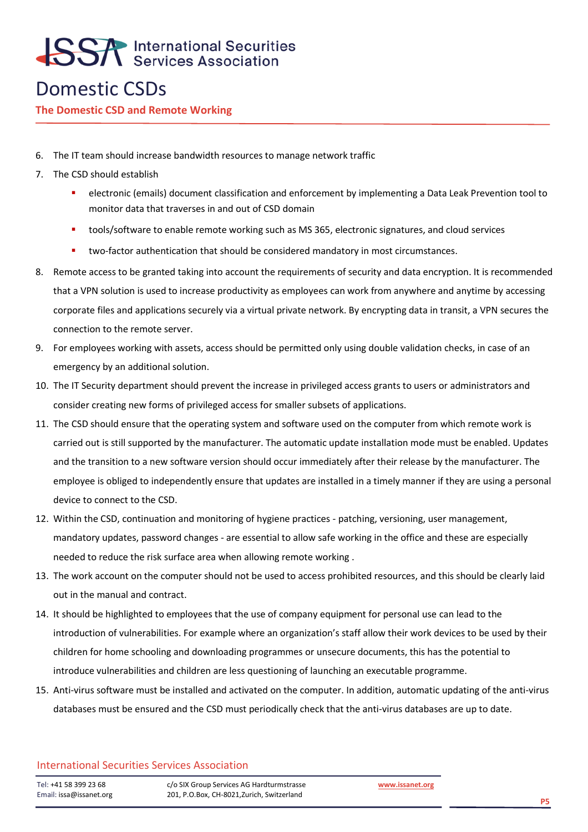### Domestic CSDs

#### **The Domestic CSD and Remote Working**

- 6. The IT team should increase bandwidth resources to manage network traffic
- 7. The CSD should establish
	- electronic (emails) document classification and enforcement by implementing a Data Leak Prevention tool to monitor data that traverses in and out of CSD domain
	- tools/software to enable remote working such as MS 365, electronic signatures, and cloud services
	- **■** two-factor authentication that should be considered mandatory in most circumstances.
- 8. Remote access to be granted taking into account the requirements of security and data encryption. It is recommended that a VPN solution is used to increase productivity as employees can work from anywhere and anytime by accessing corporate files and applications securely via a virtual private network. By encrypting data in transit, a VPN secures the connection to the remote server.
- 9. For employees working with assets, access should be permitted only using double validation checks, in case of an emergency by an additional solution.
- 10. The IT Security department should prevent the increase in privileged access grants to users or administrators and consider creating new forms of privileged access for smaller subsets of applications.
- 11. The CSD should ensure that the operating system and software used on the computer from which remote work is carried out is still supported by the manufacturer. The automatic update installation mode must be enabled. Updates and the transition to a new software version should occur immediately after their release by the manufacturer. The employee is obliged to independently ensure that updates are installed in a timely manner if they are using a personal device to connect to the CSD.
- 12. Within the CSD, continuation and monitoring of hygiene practices patching, versioning, user management, mandatory updates, password changes - are essential to allow safe working in the office and these are especially needed to reduce the risk surface area when allowing remote working .
- 13. The work account on the computer should not be used to access prohibited resources, and this should be clearly laid out in the manual and contract.
- 14. It should be highlighted to employees that the use of company equipment for personal use can lead to the introduction of vulnerabilities. For example where an organization's staff allow their work devices to be used by their children for home schooling and downloading programmes or unsecure documents, this has the potential to introduce vulnerabilities and children are less questioning of launching an executable programme.
- 15. Anti-virus software must be installed and activated on the computer. In addition, automatic updating of the anti-virus databases must be ensured and the CSD must periodically check that the anti-virus databases are up to date.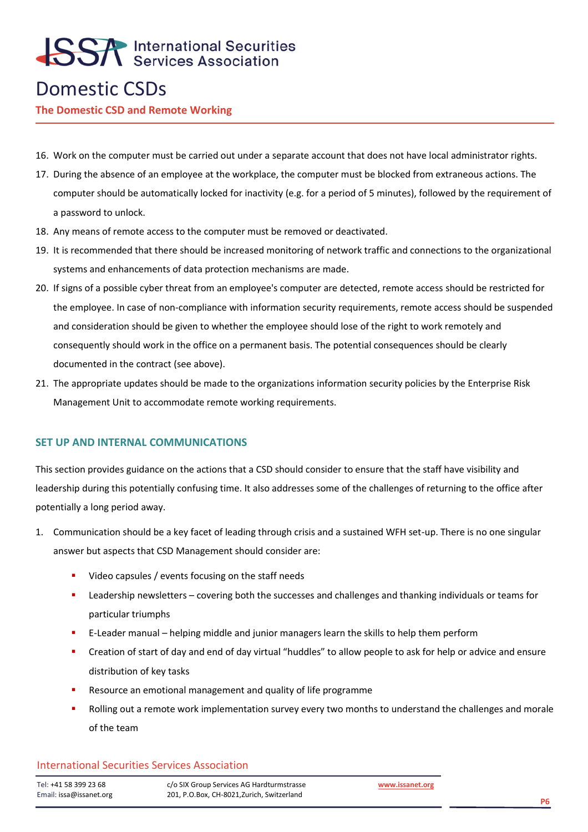### Domestic CSDs

**The Domestic CSD and Remote Working**

- 16. Work on the computer must be carried out under a separate account that does not have local administrator rights.
- 17. During the absence of an employee at the workplace, the computer must be blocked from extraneous actions. The computer should be automatically locked for inactivity (e.g. for a period of 5 minutes), followed by the requirement of a password to unlock.
- 18. Any means of remote access to the computer must be removed or deactivated.
- 19. It is recommended that there should be increased monitoring of network traffic and connections to the organizational systems and enhancements of data protection mechanisms are made.
- 20. If signs of a possible cyber threat from an employee's computer are detected, remote access should be restricted for the employee. In case of non-compliance with information security requirements, remote access should be suspended and consideration should be given to whether the employee should lose of the right to work remotely and consequently should work in the office on a permanent basis. The potential consequences should be clearly documented in the contract (see above).
- 21. The appropriate updates should be made to the organizations information security policies by the Enterprise Risk Management Unit to accommodate remote working requirements.

#### **SET UP AND INTERNAL COMMUNICATIONS**

This section provides guidance on the actions that a CSD should consider to ensure that the staff have visibility and leadership during this potentially confusing time. It also addresses some of the challenges of returning to the office after potentially a long period away.

- 1. Communication should be a key facet of leading through crisis and a sustained WFH set-up. There is no one singular answer but aspects that CSD Management should consider are:
	- Video capsules / events focusing on the staff needs
	- **EXECTER 19 Leadership newsletters covering both the successes and challenges and thanking individuals or teams for** particular triumphs
	- E-Leader manual helping middle and junior managers learn the skills to help them perform
	- Creation of start of day and end of day virtual "huddles" to allow people to ask for help or advice and ensure distribution of key tasks
	- Resource an emotional management and quality of life programme
	- **•** Rolling out a remote work implementation survey every two months to understand the challenges and morale of the team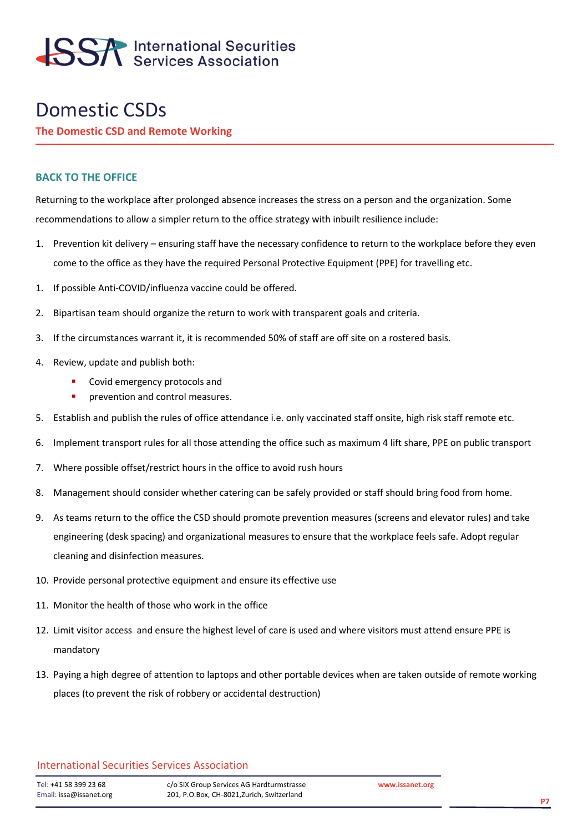

### Domestic CSDs

**The Domestic CSD and Remote Working**

#### **BACK TO THE OFFICE**

Returning to the workplace after prolonged absence increases the stress on a person and the organization. Some recommendations to allow a simpler return to the office strategy with inbuilt resilience include:

- 1. Prevention kit delivery ensuring staff have the necessary confidence to return to the workplace before they even come to the office as they have the required Personal Protective Equipment (PPE) for travelling etc.
- 1. If possible Anti-COVID/influenza vaccine could be offered.
- 2. Bipartisan team should organize the return to work with transparent goals and criteria.
- 3. If the circumstances warrant it, it is recommended 50% of staff are off site on a rostered basis.
- 4. Review, update and publish both:
	- Covid emergency protocols and
	- **•** prevention and control measures.
- 5. Establish and publish the rules of office attendance i.e. only vaccinated staff onsite, high risk staff remote etc.
- 6. Implement transport rules for all those attending the office such as maximum 4 lift share, PPE on public transport
- 7. Where possible offset/restrict hours in the office to avoid rush hours
- 8. Management should consider whether catering can be safely provided or staff should bring food from home.
- 9. As teams return to the office the CSD should promote prevention measures (screens and elevator rules) and take engineering (desk spacing) and organizational measures to ensure that the workplace feels safe. Adopt regular cleaning and disinfection measures.
- 10. Provide personal protective equipment and ensure its effective use
- 11. Monitor the health of those who work in the office
- 12. Limit visitor access and ensure the highest level of care is used and where visitors must attend ensure PPE is mandatory
- 13. Paying a high degree of attention to laptops and other portable devices when are taken outside of remote working places (to prevent the risk of robbery or accidental destruction)